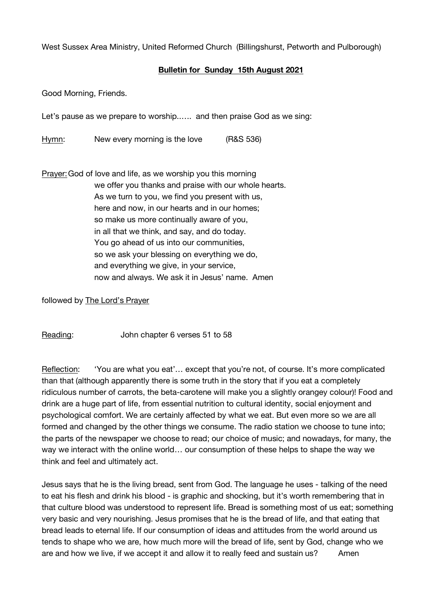West Sussex Area Ministry, United Reformed Church (Billingshurst, Petworth and Pulborough)

## **Bulletin for Sunday 15th August 2021**

Good Morning, Friends.

Let's pause as we prepare to worship..…. and then praise God as we sing:

Hymn: New every morning is the love (R&S 536)

Prayer:God of love and life, as we worship you this morning we offer you thanks and praise with our whole hearts. As we turn to you, we find you present with us, here and now, in our hearts and in our homes; so make us more continually aware of you, in all that we think, and say, and do today. You go ahead of us into our communities, so we ask your blessing on everything we do, and everything we give, in your service, now and always. We ask it in Jesus' name. Amen

followed by The Lord's Prayer

Reading: John chapter 6 verses 51 to 58

Reflection: 'You are what you eat'… except that you're not, of course. It's more complicated than that (although apparently there is some truth in the story that if you eat a completely ridiculous number of carrots, the beta-carotene will make you a slightly orangey colour)! Food and drink are a huge part of life, from essential nutrition to cultural identity, social enjoyment and psychological comfort. We are certainly affected by what we eat. But even more so we are all formed and changed by the other things we consume. The radio station we choose to tune into; the parts of the newspaper we choose to read; our choice of music; and nowadays, for many, the way we interact with the online world… our consumption of these helps to shape the way we think and feel and ultimately act.

Jesus says that he is the living bread, sent from God. The language he uses - talking of the need to eat his flesh and drink his blood - is graphic and shocking, but it's worth remembering that in that culture blood was understood to represent life. Bread is something most of us eat; something very basic and very nourishing. Jesus promises that he is the bread of life, and that eating that bread leads to eternal life. If our consumption of ideas and attitudes from the world around us tends to shape who we are, how much more will the bread of life, sent by God, change who we are and how we live, if we accept it and allow it to really feed and sustain us? Amen